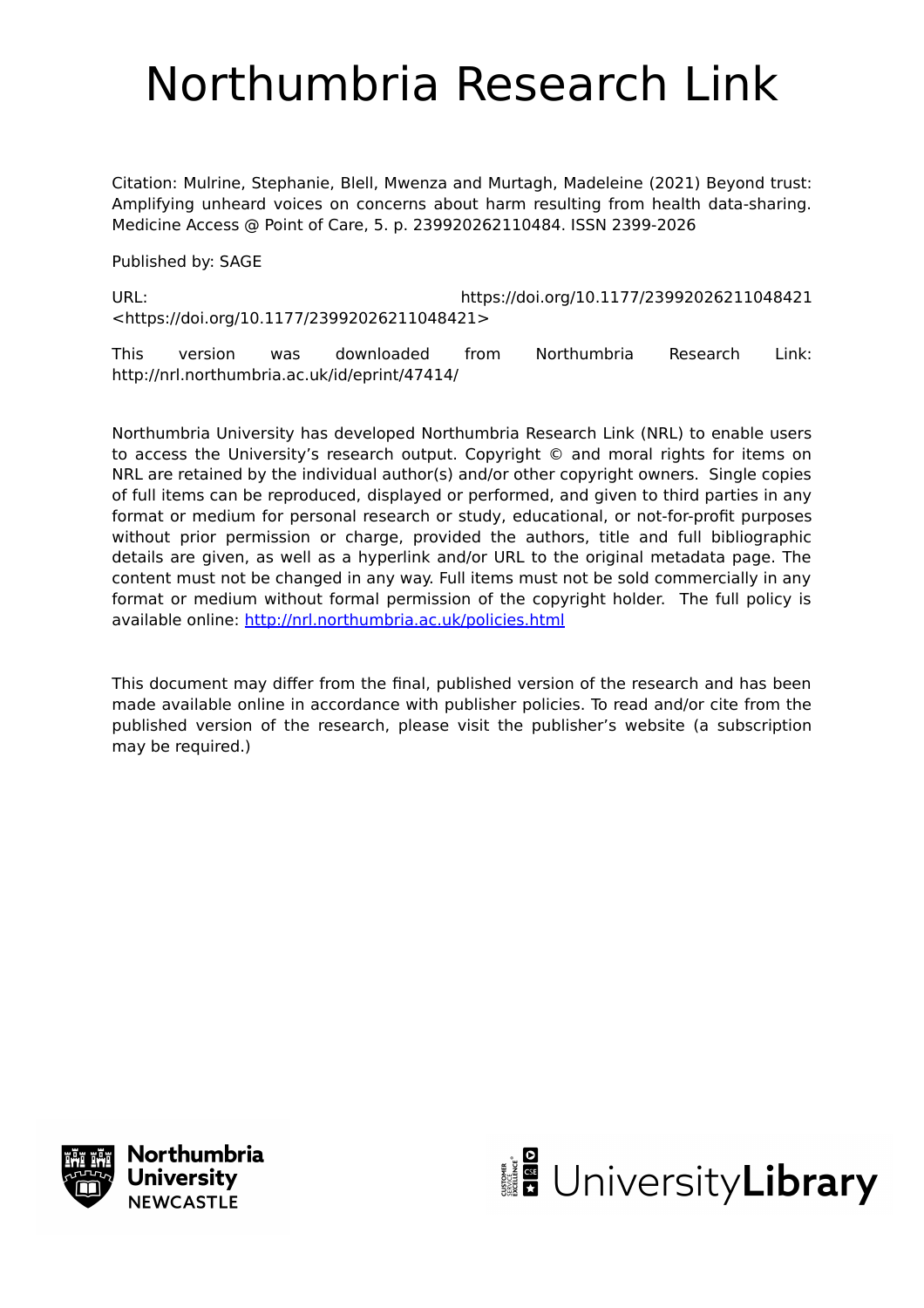# Northumbria Research Link

Citation: Mulrine, Stephanie, Blell, Mwenza and Murtagh, Madeleine (2021) Beyond trust: Amplifying unheard voices on concerns about harm resulting from health data-sharing. Medicine Access @ Point of Care, 5. p. 239920262110484. ISSN 2399-2026

Published by: SAGE

URL: https://doi.org/10.1177/23992026211048421 <https://doi.org/10.1177/23992026211048421>

This version was downloaded from Northumbria Research Link: http://nrl.northumbria.ac.uk/id/eprint/47414/

Northumbria University has developed Northumbria Research Link (NRL) to enable users to access the University's research output. Copyright © and moral rights for items on NRL are retained by the individual author(s) and/or other copyright owners. Single copies of full items can be reproduced, displayed or performed, and given to third parties in any format or medium for personal research or study, educational, or not-for-profit purposes without prior permission or charge, provided the authors, title and full bibliographic details are given, as well as a hyperlink and/or URL to the original metadata page. The content must not be changed in any way. Full items must not be sold commercially in any format or medium without formal permission of the copyright holder. The full policy is available online:<http://nrl.northumbria.ac.uk/policies.html>

This document may differ from the final, published version of the research and has been made available online in accordance with publisher policies. To read and/or cite from the published version of the research, please visit the publisher's website (a subscription may be required.)



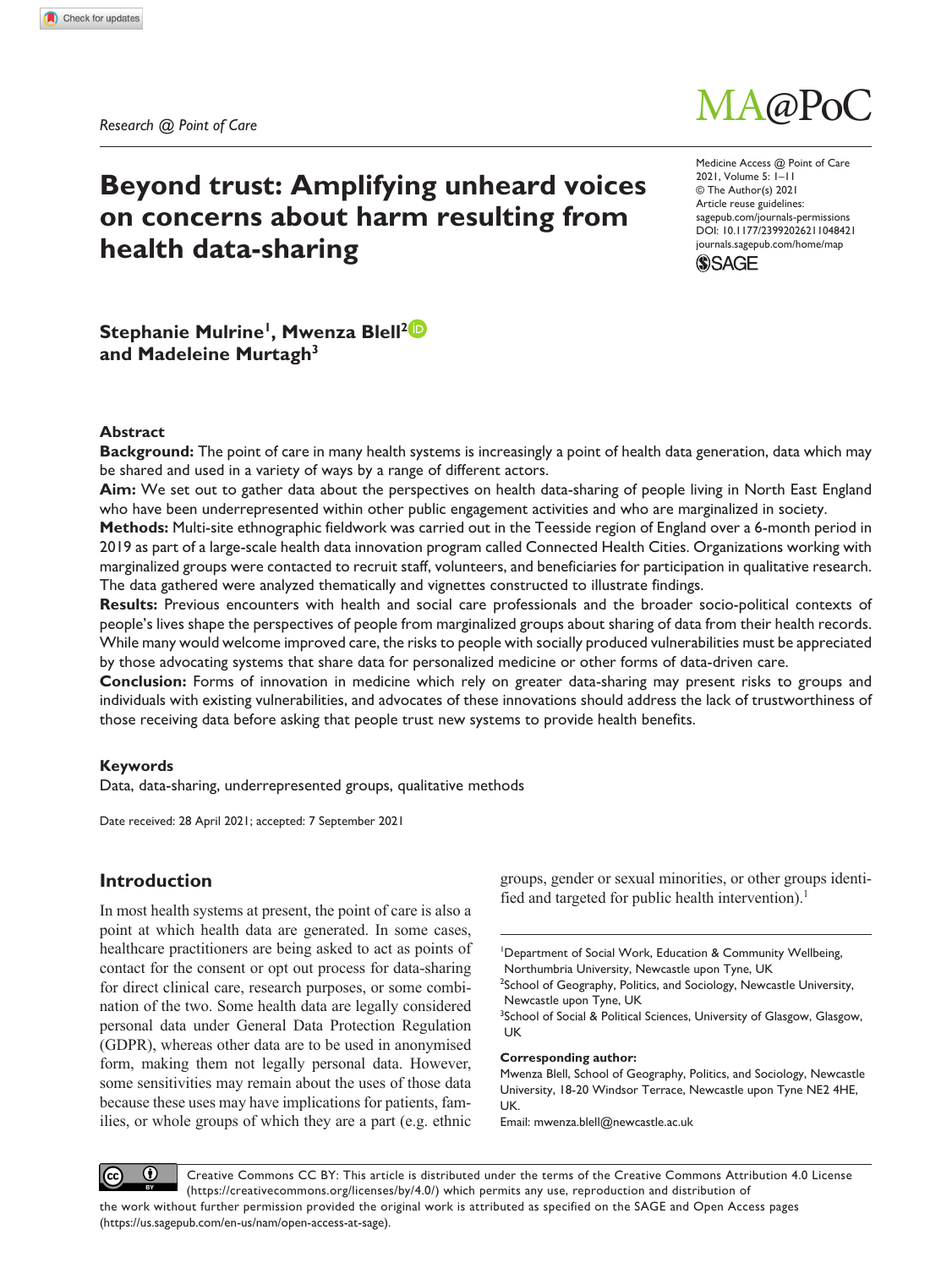

## **Beyond trust: Amplifying unheard voices on concerns about harm resulting from health data-sharing**

DOI: 10.1177/23992026211048421 Medicine Access @ Point of Care 2021, Volume 5: 1–11 © The Author(s) 2021 Article reuse guidelines: [sagepub.com/journals-permissions](https://uk.sagepub.com/en-gb/journals-permissions) [journals.sagepub.com/home/map](https://journals.sagepub.com/home/map)



Stephanie Mulrine<sup>1</sup>, Mwenza Blell<sup>2</sup><sup>D</sup> **and Madeleine Murtagh3**

#### **Abstract**

**Background:** The point of care in many health systems is increasingly a point of health data generation, data which may be shared and used in a variety of ways by a range of different actors.

**Aim:** We set out to gather data about the perspectives on health data-sharing of people living in North East England who have been underrepresented within other public engagement activities and who are marginalized in society.

**Methods:** Multi-site ethnographic fieldwork was carried out in the Teesside region of England over a 6-month period in 2019 as part of a large-scale health data innovation program called Connected Health Cities. Organizations working with marginalized groups were contacted to recruit staff, volunteers, and beneficiaries for participation in qualitative research. The data gathered were analyzed thematically and vignettes constructed to illustrate findings.

**Results:** Previous encounters with health and social care professionals and the broader socio-political contexts of people's lives shape the perspectives of people from marginalized groups about sharing of data from their health records. While many would welcome improved care, the risks to people with socially produced vulnerabilities must be appreciated by those advocating systems that share data for personalized medicine or other forms of data-driven care.

**Conclusion:** Forms of innovation in medicine which rely on greater data-sharing may present risks to groups and individuals with existing vulnerabilities, and advocates of these innovations should address the lack of trustworthiness of those receiving data before asking that people trust new systems to provide health benefits.

#### **Keywords**

Data, data-sharing, underrepresented groups, qualitative methods

Date received: 28 April 2021; accepted: 7 September 2021

## **Introduction**

In most health systems at present, the point of care is also a point at which health data are generated. In some cases, healthcare practitioners are being asked to act as points of contact for the consent or opt out process for data-sharing for direct clinical care, research purposes, or some combination of the two. Some health data are legally considered personal data under General Data Protection Regulation (GDPR), whereas other data are to be used in anonymised form, making them not legally personal data. However, some sensitivities may remain about the uses of those data because these uses may have implications for patients, families, or whole groups of which they are a part (e.g. ethnic

groups, gender or sexual minorities, or other groups identified and targeted for public health intervention).<sup>1</sup>

1 Department of Social Work, Education & Community Wellbeing, Northumbria University, Newcastle upon Tyne, UK

<sup>2</sup>School of Geography, Politics, and Sociology, Newcastle University, Newcastle upon Tyne, UK

<sup>3</sup>School of Social & Political Sciences, University of Glasgow, Glasgow, UK

#### **Corresponding author:**

Mwenza Blell, School of Geography, Politics, and Sociology, Newcastle University, 18-20 Windsor Terrace, Newcastle upon Tyne NE2 4HE, UK.

Email: [mwenza.blell@newcastle.ac.uk](mailto:mwenza.blell@newcastle.ac.uk)

 $\left($  $\bf \Theta$ Creative Commons CC BY: This article is distributed under the terms of the Creative Commons Attribution 4.0 License (https://creativecommons.org/licenses/by/4.0/) which permits any use, reproduction and distribution of the work without further permission provided the original work is attributed as specified on the SAGE and Open Access pages

(https://us.sagepub.com/en-us/nam/open-access-at-sage).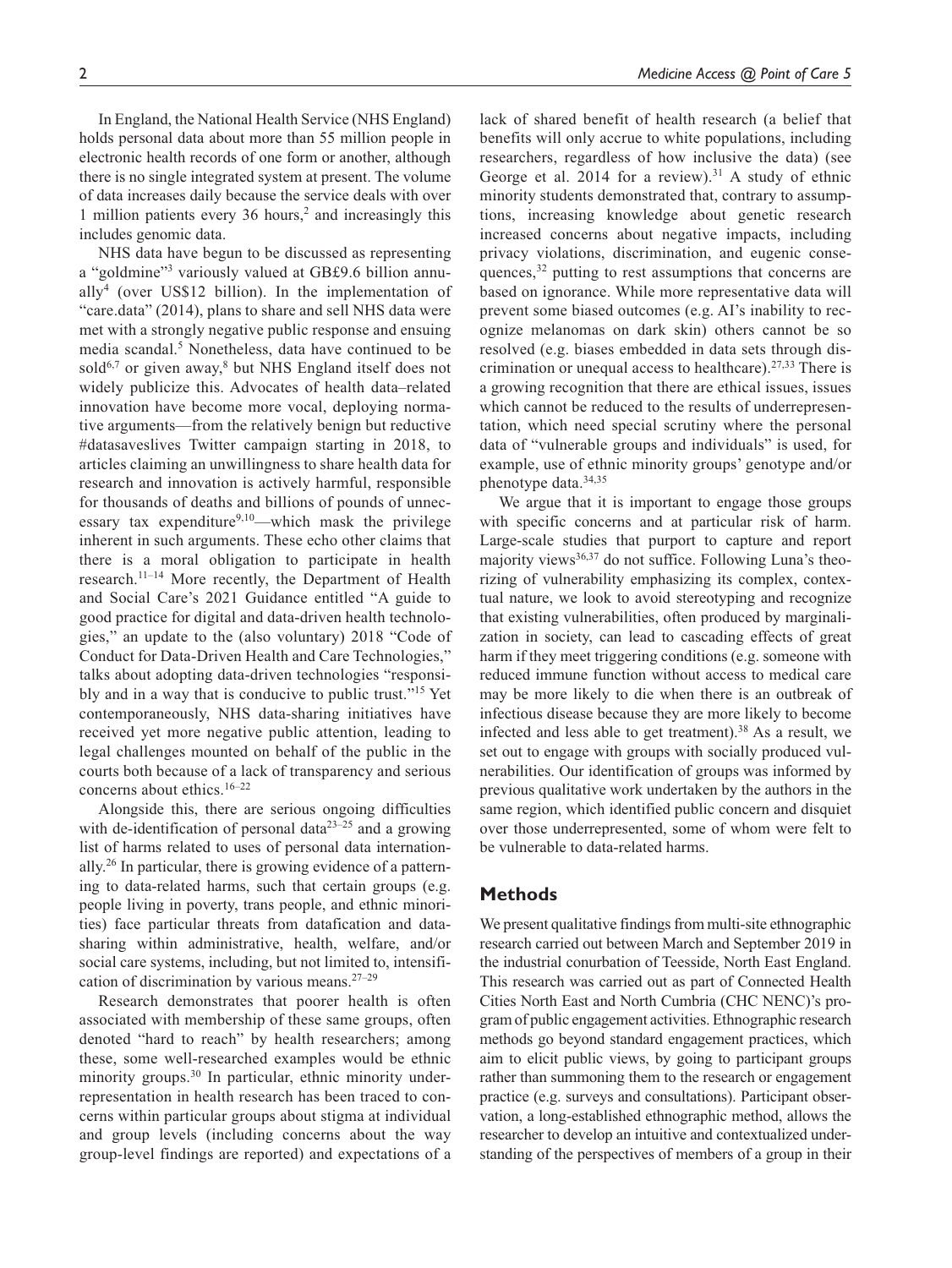In England, the National Health Service (NHS England) holds personal data about more than 55 million people in electronic health records of one form or another, although there is no single integrated system at present. The volume of data increases daily because the service deals with over 1 million patients every 36 hours,<sup>2</sup> and increasingly this includes genomic data.

NHS data have begun to be discussed as representing a "goldmine"<sup>3</sup> variously valued at GB£9.6 billion annually4 (over US\$12 billion). In the implementation of "care.data" (2014), plans to share and sell NHS data were met with a strongly negative public response and ensuing media scandal.<sup>5</sup> Nonetheless, data have continued to be sold<sup>6,7</sup> or given away, $8$  but NHS England itself does not widely publicize this. Advocates of health data–related innovation have become more vocal, deploying normative arguments—from the relatively benign but reductive #datasaveslives Twitter campaign starting in 2018, to articles claiming an unwillingness to share health data for research and innovation is actively harmful, responsible for thousands of deaths and billions of pounds of unnecessary tax expenditure<sup>9,10</sup>—which mask the privilege inherent in such arguments. These echo other claims that there is a moral obligation to participate in health research.11–14 More recently, the Department of Health and Social Care's 2021 Guidance entitled "A guide to good practice for digital and data-driven health technologies," an update to the (also voluntary) 2018 "Code of Conduct for Data-Driven Health and Care Technologies," talks about adopting data-driven technologies "responsibly and in a way that is conducive to public trust."15 Yet contemporaneously, NHS data-sharing initiatives have received yet more negative public attention, leading to legal challenges mounted on behalf of the public in the courts both because of a lack of transparency and serious concerns about ethics.16–22

Alongside this, there are serious ongoing difficulties with de-identification of personal data<sup>23–25</sup> and a growing list of harms related to uses of personal data internationally.26 In particular, there is growing evidence of a patterning to data-related harms, such that certain groups (e.g. people living in poverty, trans people, and ethnic minorities) face particular threats from datafication and datasharing within administrative, health, welfare, and/or social care systems, including, but not limited to, intensification of discrimination by various means. $27-29$ 

Research demonstrates that poorer health is often associated with membership of these same groups, often denoted "hard to reach" by health researchers; among these, some well-researched examples would be ethnic minority groups.<sup>30</sup> In particular, ethnic minority underrepresentation in health research has been traced to concerns within particular groups about stigma at individual and group levels (including concerns about the way group-level findings are reported) and expectations of a

lack of shared benefit of health research (a belief that benefits will only accrue to white populations, including researchers, regardless of how inclusive the data) (see George et al. 2014 for a review).<sup>31</sup> A study of ethnic minority students demonstrated that, contrary to assumptions, increasing knowledge about genetic research increased concerns about negative impacts, including privacy violations, discrimination, and eugenic consequences, $32$  putting to rest assumptions that concerns are based on ignorance. While more representative data will prevent some biased outcomes (e.g. AI's inability to recognize melanomas on dark skin) others cannot be so resolved (e.g. biases embedded in data sets through discrimination or unequal access to healthcare).<sup>27,33</sup> There is a growing recognition that there are ethical issues, issues which cannot be reduced to the results of underrepresentation, which need special scrutiny where the personal data of "vulnerable groups and individuals" is used, for example, use of ethnic minority groups' genotype and/or phenotype data.34,35

We argue that it is important to engage those groups with specific concerns and at particular risk of harm. Large-scale studies that purport to capture and report majority views<sup>36,37</sup> do not suffice. Following Luna's theorizing of vulnerability emphasizing its complex, contextual nature, we look to avoid stereotyping and recognize that existing vulnerabilities, often produced by marginalization in society, can lead to cascading effects of great harm if they meet triggering conditions (e.g. someone with reduced immune function without access to medical care may be more likely to die when there is an outbreak of infectious disease because they are more likely to become infected and less able to get treatment).<sup>38</sup> As a result, we set out to engage with groups with socially produced vulnerabilities. Our identification of groups was informed by previous qualitative work undertaken by the authors in the same region, which identified public concern and disquiet over those underrepresented, some of whom were felt to be vulnerable to data-related harms.

#### **Methods**

We present qualitative findings from multi-site ethnographic research carried out between March and September 2019 in the industrial conurbation of Teesside, North East England. This research was carried out as part of Connected Health Cities North East and North Cumbria (CHC NENC)'s program of public engagement activities. Ethnographic research methods go beyond standard engagement practices, which aim to elicit public views, by going to participant groups rather than summoning them to the research or engagement practice (e.g. surveys and consultations). Participant observation, a long-established ethnographic method, allows the researcher to develop an intuitive and contextualized understanding of the perspectives of members of a group in their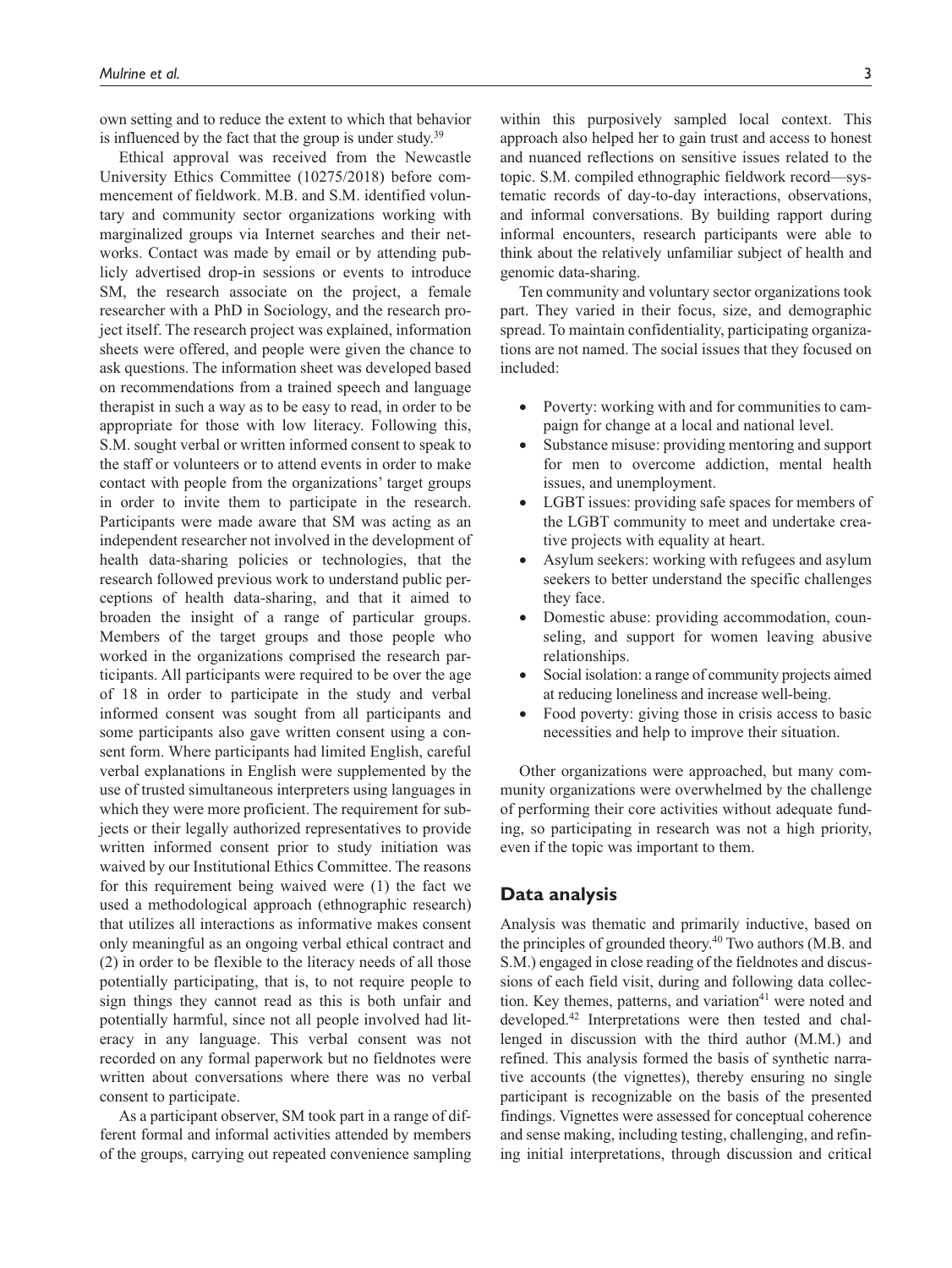own setting and to reduce the extent to which that behavior is influenced by the fact that the group is under study.<sup>39</sup>

Ethical approval was received from the Newcastle University Ethics Committee (10275/2018) before commencement of fieldwork. M.B. and S.M. identified voluntary and community sector organizations working with marginalized groups via Internet searches and their networks. Contact was made by email or by attending publicly advertised drop-in sessions or events to introduce SM, the research associate on the project, a female researcher with a PhD in Sociology, and the research project itself. The research project was explained, information sheets were offered, and people were given the chance to ask questions. The information sheet was developed based on recommendations from a trained speech and language therapist in such a way as to be easy to read, in order to be appropriate for those with low literacy. Following this, S.M. sought verbal or written informed consent to speak to the staff or volunteers or to attend events in order to make contact with people from the organizations' target groups in order to invite them to participate in the research. Participants were made aware that SM was acting as an independent researcher not involved in the development of health data-sharing policies or technologies, that the research followed previous work to understand public perceptions of health data-sharing, and that it aimed to broaden the insight of a range of particular groups. Members of the target groups and those people who worked in the organizations comprised the research participants. All participants were required to be over the age of 18 in order to participate in the study and verbal informed consent was sought from all participants and some participants also gave written consent using a consent form. Where participants had limited English, careful verbal explanations in English were supplemented by the use of trusted simultaneous interpreters using languages in which they were more proficient. The requirement for subjects or their legally authorized representatives to provide written informed consent prior to study initiation was waived by our Institutional Ethics Committee. The reasons for this requirement being waived were (1) the fact we used a methodological approach (ethnographic research) that utilizes all interactions as informative makes consent only meaningful as an ongoing verbal ethical contract and (2) in order to be flexible to the literacy needs of all those potentially participating, that is, to not require people to sign things they cannot read as this is both unfair and potentially harmful, since not all people involved had literacy in any language. This verbal consent was not recorded on any formal paperwork but no fieldnotes were written about conversations where there was no verbal consent to participate.

As a participant observer, SM took part in a range of different formal and informal activities attended by members of the groups, carrying out repeated convenience sampling within this purposively sampled local context. This approach also helped her to gain trust and access to honest and nuanced reflections on sensitive issues related to the topic. S.M. compiled ethnographic fieldwork record—systematic records of day-to-day interactions, observations, and informal conversations. By building rapport during informal encounters, research participants were able to think about the relatively unfamiliar subject of health and genomic data-sharing.

Ten community and voluntary sector organizations took part. They varied in their focus, size, and demographic spread. To maintain confidentiality, participating organizations are not named. The social issues that they focused on included:

- Poverty: working with and for communities to campaign for change at a local and national level.
- Substance misuse: providing mentoring and support for men to overcome addiction, mental health issues, and unemployment.
- LGBT issues: providing safe spaces for members of the LGBT community to meet and undertake creative projects with equality at heart.
- Asylum seekers: working with refugees and asylum seekers to better understand the specific challenges they face.
- Domestic abuse: providing accommodation, counseling, and support for women leaving abusive relationships.
- Social isolation: a range of community projects aimed at reducing loneliness and increase well-being.
- Food poverty: giving those in crisis access to basic necessities and help to improve their situation.

Other organizations were approached, but many community organizations were overwhelmed by the challenge of performing their core activities without adequate funding, so participating in research was not a high priority, even if the topic was important to them.

#### **Data analysis**

Analysis was thematic and primarily inductive, based on the principles of grounded theory.<sup>40</sup> Two authors (M.B. and S.M.) engaged in close reading of the fieldnotes and discussions of each field visit, during and following data collection. Key themes, patterns, and variation $41$  were noted and developed.42 Interpretations were then tested and challenged in discussion with the third author (M.M.) and refined. This analysis formed the basis of synthetic narrative accounts (the vignettes), thereby ensuring no single participant is recognizable on the basis of the presented findings. Vignettes were assessed for conceptual coherence and sense making, including testing, challenging, and refining initial interpretations, through discussion and critical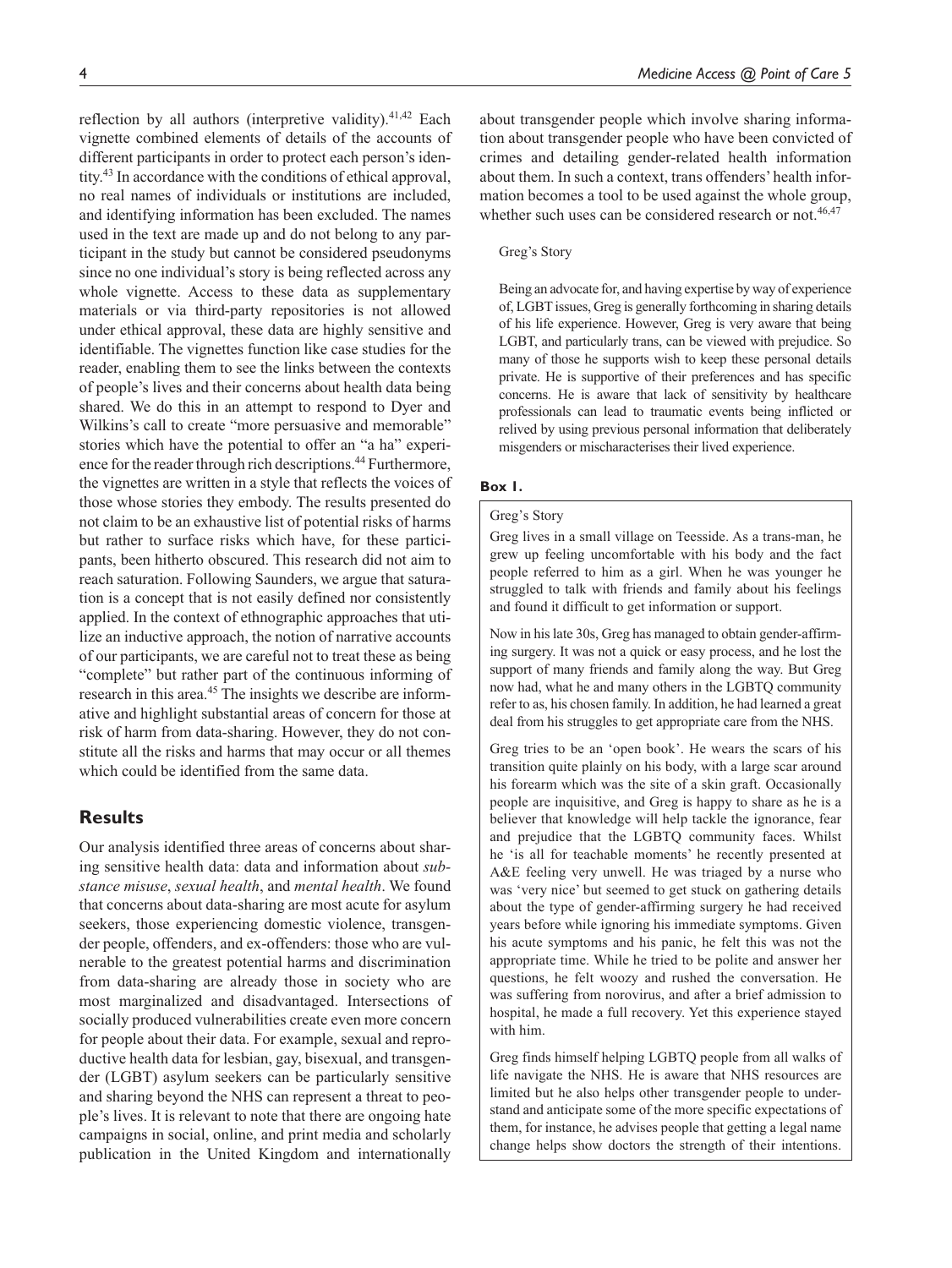reflection by all authors (interpretive validity). $41,42$  Each vignette combined elements of details of the accounts of different participants in order to protect each person's identity.43 In accordance with the conditions of ethical approval, no real names of individuals or institutions are included, and identifying information has been excluded. The names used in the text are made up and do not belong to any participant in the study but cannot be considered pseudonyms since no one individual's story is being reflected across any whole vignette. Access to these data as supplementary materials or via third-party repositories is not allowed under ethical approval, these data are highly sensitive and identifiable. The vignettes function like case studies for the reader, enabling them to see the links between the contexts of people's lives and their concerns about health data being shared. We do this in an attempt to respond to Dyer and Wilkins's call to create "more persuasive and memorable" stories which have the potential to offer an "a ha" experience for the reader through rich descriptions.<sup>44</sup> Furthermore, the vignettes are written in a style that reflects the voices of those whose stories they embody. The results presented do not claim to be an exhaustive list of potential risks of harms but rather to surface risks which have, for these participants, been hitherto obscured. This research did not aim to reach saturation. Following Saunders, we argue that saturation is a concept that is not easily defined nor consistently applied. In the context of ethnographic approaches that utilize an inductive approach, the notion of narrative accounts of our participants, we are careful not to treat these as being "complete" but rather part of the continuous informing of research in this area.<sup>45</sup> The insights we describe are informative and highlight substantial areas of concern for those at risk of harm from data-sharing. However, they do not constitute all the risks and harms that may occur or all themes which could be identified from the same data.

### **Results**

Our analysis identified three areas of concerns about sharing sensitive health data: data and information about *substance misuse*, *sexual health*, and *mental health*. We found that concerns about data-sharing are most acute for asylum seekers, those experiencing domestic violence, transgender people, offenders, and ex-offenders: those who are vulnerable to the greatest potential harms and discrimination from data-sharing are already those in society who are most marginalized and disadvantaged. Intersections of socially produced vulnerabilities create even more concern for people about their data. For example, sexual and reproductive health data for lesbian, gay, bisexual, and transgender (LGBT) asylum seekers can be particularly sensitive and sharing beyond the NHS can represent a threat to people's lives. It is relevant to note that there are ongoing hate campaigns in social, online, and print media and scholarly publication in the United Kingdom and internationally

about transgender people which involve sharing information about transgender people who have been convicted of crimes and detailing gender-related health information about them. In such a context, trans offenders' health information becomes a tool to be used against the whole group, whether such uses can be considered research or not.<sup>46,47</sup>

#### Greg's Story

Being an advocate for, and having expertise by way of experience of, LGBT issues, Greg is generally forthcoming in sharing details of his life experience. However, Greg is very aware that being LGBT, and particularly trans, can be viewed with prejudice. So many of those he supports wish to keep these personal details private. He is supportive of their preferences and has specific concerns. He is aware that lack of sensitivity by healthcare professionals can lead to traumatic events being inflicted or relived by using previous personal information that deliberately misgenders or mischaracterises their lived experience.

#### **Box 1.**

#### Greg's Story

Greg lives in a small village on Teesside. As a trans-man, he grew up feeling uncomfortable with his body and the fact people referred to him as a girl. When he was younger he struggled to talk with friends and family about his feelings and found it difficult to get information or support.

Now in his late 30s, Greg has managed to obtain gender-affirming surgery. It was not a quick or easy process, and he lost the support of many friends and family along the way. But Greg now had, what he and many others in the LGBTQ community refer to as, his chosen family. In addition, he had learned a great deal from his struggles to get appropriate care from the NHS.

Greg tries to be an 'open book'. He wears the scars of his transition quite plainly on his body, with a large scar around his forearm which was the site of a skin graft. Occasionally people are inquisitive, and Greg is happy to share as he is a believer that knowledge will help tackle the ignorance, fear and prejudice that the LGBTQ community faces. Whilst he 'is all for teachable moments' he recently presented at A&E feeling very unwell. He was triaged by a nurse who was 'very nice' but seemed to get stuck on gathering details about the type of gender-affirming surgery he had received years before while ignoring his immediate symptoms. Given his acute symptoms and his panic, he felt this was not the appropriate time. While he tried to be polite and answer her questions, he felt woozy and rushed the conversation. He was suffering from norovirus, and after a brief admission to hospital, he made a full recovery. Yet this experience stayed with him.

Greg finds himself helping LGBTQ people from all walks of life navigate the NHS. He is aware that NHS resources are limited but he also helps other transgender people to understand and anticipate some of the more specific expectations of them, for instance, he advises people that getting a legal name change helps show doctors the strength of their intentions.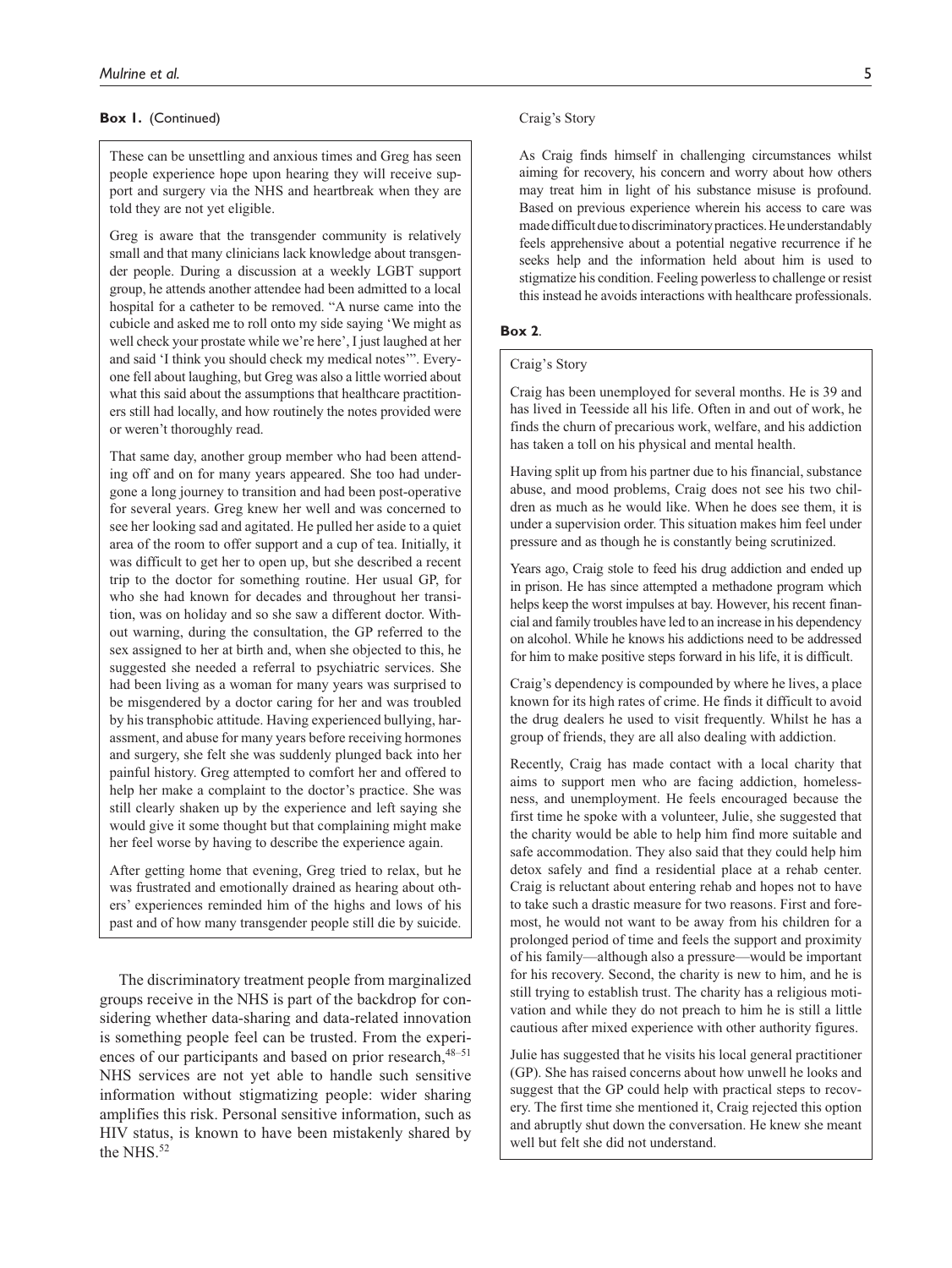#### **Box 1.** (Continued)

These can be unsettling and anxious times and Greg has seen people experience hope upon hearing they will receive support and surgery via the NHS and heartbreak when they are told they are not yet eligible.

Greg is aware that the transgender community is relatively small and that many clinicians lack knowledge about transgender people. During a discussion at a weekly LGBT support group, he attends another attendee had been admitted to a local hospital for a catheter to be removed. "A nurse came into the cubicle and asked me to roll onto my side saying 'We might as well check your prostate while we're here', I just laughed at her and said 'I think you should check my medical notes'". Everyone fell about laughing, but Greg was also a little worried about what this said about the assumptions that healthcare practitioners still had locally, and how routinely the notes provided were or weren't thoroughly read.

That same day, another group member who had been attending off and on for many years appeared. She too had undergone a long journey to transition and had been post-operative for several years. Greg knew her well and was concerned to see her looking sad and agitated. He pulled her aside to a quiet area of the room to offer support and a cup of tea. Initially, it was difficult to get her to open up, but she described a recent trip to the doctor for something routine. Her usual GP, for who she had known for decades and throughout her transition, was on holiday and so she saw a different doctor. Without warning, during the consultation, the GP referred to the sex assigned to her at birth and, when she objected to this, he suggested she needed a referral to psychiatric services. She had been living as a woman for many years was surprised to be misgendered by a doctor caring for her and was troubled by his transphobic attitude. Having experienced bullying, harassment, and abuse for many years before receiving hormones and surgery, she felt she was suddenly plunged back into her painful history. Greg attempted to comfort her and offered to help her make a complaint to the doctor's practice. She was still clearly shaken up by the experience and left saying she would give it some thought but that complaining might make her feel worse by having to describe the experience again.

After getting home that evening, Greg tried to relax, but he was frustrated and emotionally drained as hearing about others' experiences reminded him of the highs and lows of his past and of how many transgender people still die by suicide.

The discriminatory treatment people from marginalized groups receive in the NHS is part of the backdrop for considering whether data-sharing and data-related innovation is something people feel can be trusted. From the experiences of our participants and based on prior research,  $48-51$ NHS services are not yet able to handle such sensitive information without stigmatizing people: wider sharing amplifies this risk. Personal sensitive information, such as HIV status, is known to have been mistakenly shared by the NHS.<sup>52</sup>

#### Craig's Story

As Craig finds himself in challenging circumstances whilst aiming for recovery, his concern and worry about how others may treat him in light of his substance misuse is profound. Based on previous experience wherein his access to care was made difficult due to discriminatory practices. He understandably feels apprehensive about a potential negative recurrence if he seeks help and the information held about him is used to stigmatize his condition. Feeling powerless to challenge or resist this instead he avoids interactions with healthcare professionals.

#### **Box 2**.

#### Craig's Story

Craig has been unemployed for several months. He is 39 and has lived in Teesside all his life. Often in and out of work, he finds the churn of precarious work, welfare, and his addiction has taken a toll on his physical and mental health.

Having split up from his partner due to his financial, substance abuse, and mood problems, Craig does not see his two children as much as he would like. When he does see them, it is under a supervision order. This situation makes him feel under pressure and as though he is constantly being scrutinized.

Years ago, Craig stole to feed his drug addiction and ended up in prison. He has since attempted a methadone program which helps keep the worst impulses at bay. However, his recent financial and family troubles have led to an increase in his dependency on alcohol. While he knows his addictions need to be addressed for him to make positive steps forward in his life, it is difficult.

Craig's dependency is compounded by where he lives, a place known for its high rates of crime. He finds it difficult to avoid the drug dealers he used to visit frequently. Whilst he has a group of friends, they are all also dealing with addiction.

Recently, Craig has made contact with a local charity that aims to support men who are facing addiction, homelessness, and unemployment. He feels encouraged because the first time he spoke with a volunteer, Julie, she suggested that the charity would be able to help him find more suitable and safe accommodation. They also said that they could help him detox safely and find a residential place at a rehab center. Craig is reluctant about entering rehab and hopes not to have to take such a drastic measure for two reasons. First and foremost, he would not want to be away from his children for a prolonged period of time and feels the support and proximity of his family—although also a pressure—would be important for his recovery. Second, the charity is new to him, and he is still trying to establish trust. The charity has a religious motivation and while they do not preach to him he is still a little cautious after mixed experience with other authority figures.

Julie has suggested that he visits his local general practitioner (GP). She has raised concerns about how unwell he looks and suggest that the GP could help with practical steps to recovery. The first time she mentioned it, Craig rejected this option and abruptly shut down the conversation. He knew she meant well but felt she did not understand.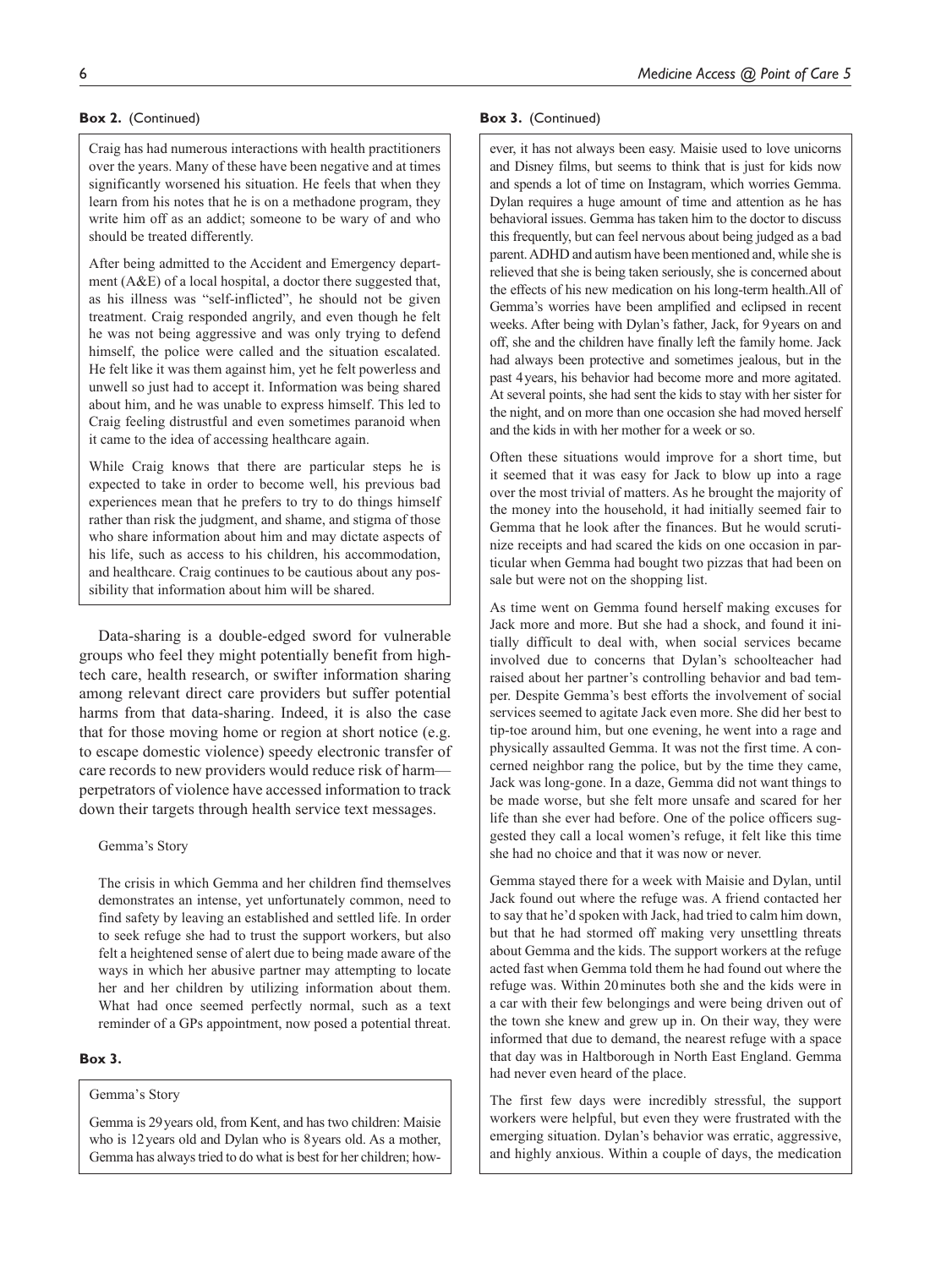Craig has had numerous interactions with health practitioners over the years. Many of these have been negative and at times significantly worsened his situation. He feels that when they learn from his notes that he is on a methadone program, they write him off as an addict; someone to be wary of and who should be treated differently.

After being admitted to the Accident and Emergency department (A&E) of a local hospital, a doctor there suggested that, as his illness was "self-inflicted", he should not be given treatment. Craig responded angrily, and even though he felt he was not being aggressive and was only trying to defend himself, the police were called and the situation escalated. He felt like it was them against him, yet he felt powerless and unwell so just had to accept it. Information was being shared about him, and he was unable to express himself. This led to Craig feeling distrustful and even sometimes paranoid when it came to the idea of accessing healthcare again.

While Craig knows that there are particular steps he is expected to take in order to become well, his previous bad experiences mean that he prefers to try to do things himself rather than risk the judgment, and shame, and stigma of those who share information about him and may dictate aspects of his life, such as access to his children, his accommodation, and healthcare. Craig continues to be cautious about any possibility that information about him will be shared.

Data-sharing is a double-edged sword for vulnerable groups who feel they might potentially benefit from hightech care, health research, or swifter information sharing among relevant direct care providers but suffer potential harms from that data-sharing. Indeed, it is also the case that for those moving home or region at short notice (e.g. to escape domestic violence) speedy electronic transfer of care records to new providers would reduce risk of harm perpetrators of violence have accessed information to track down their targets through health service text messages.

#### Gemma's Story

The crisis in which Gemma and her children find themselves demonstrates an intense, yet unfortunately common, need to find safety by leaving an established and settled life. In order to seek refuge she had to trust the support workers, but also felt a heightened sense of alert due to being made aware of the ways in which her abusive partner may attempting to locate her and her children by utilizing information about them. What had once seemed perfectly normal, such as a text reminder of a GPs appointment, now posed a potential threat.

#### **Box 3.**

#### Gemma's Story

Gemma is 29years old, from Kent, and has two children: Maisie who is 12years old and Dylan who is 8years old. As a mother, Gemma has always tried to do what is best for her children; how-

#### **Box 2.** (Continued) **Box 3.** (Continued)

ever, it has not always been easy. Maisie used to love unicorns and Disney films, but seems to think that is just for kids now and spends a lot of time on Instagram, which worries Gemma. Dylan requires a huge amount of time and attention as he has behavioral issues. Gemma has taken him to the doctor to discuss this frequently, but can feel nervous about being judged as a bad parent. ADHD and autism have been mentioned and, while she is relieved that she is being taken seriously, she is concerned about the effects of his new medication on his long-term health.All of Gemma's worries have been amplified and eclipsed in recent weeks. After being with Dylan's father, Jack, for 9years on and off, she and the children have finally left the family home. Jack had always been protective and sometimes jealous, but in the past 4years, his behavior had become more and more agitated. At several points, she had sent the kids to stay with her sister for the night, and on more than one occasion she had moved herself and the kids in with her mother for a week or so.

Often these situations would improve for a short time, but it seemed that it was easy for Jack to blow up into a rage over the most trivial of matters. As he brought the majority of the money into the household, it had initially seemed fair to Gemma that he look after the finances. But he would scrutinize receipts and had scared the kids on one occasion in particular when Gemma had bought two pizzas that had been on sale but were not on the shopping list.

As time went on Gemma found herself making excuses for Jack more and more. But she had a shock, and found it initially difficult to deal with, when social services became involved due to concerns that Dylan's schoolteacher had raised about her partner's controlling behavior and bad temper. Despite Gemma's best efforts the involvement of social services seemed to agitate Jack even more. She did her best to tip-toe around him, but one evening, he went into a rage and physically assaulted Gemma. It was not the first time. A concerned neighbor rang the police, but by the time they came, Jack was long-gone. In a daze, Gemma did not want things to be made worse, but she felt more unsafe and scared for her life than she ever had before. One of the police officers suggested they call a local women's refuge, it felt like this time she had no choice and that it was now or never.

Gemma stayed there for a week with Maisie and Dylan, until Jack found out where the refuge was. A friend contacted her to say that he'd spoken with Jack, had tried to calm him down, but that he had stormed off making very unsettling threats about Gemma and the kids. The support workers at the refuge acted fast when Gemma told them he had found out where the refuge was. Within 20minutes both she and the kids were in a car with their few belongings and were being driven out of the town she knew and grew up in. On their way, they were informed that due to demand, the nearest refuge with a space that day was in Haltborough in North East England. Gemma had never even heard of the place.

The first few days were incredibly stressful, the support workers were helpful, but even they were frustrated with the emerging situation. Dylan's behavior was erratic, aggressive, and highly anxious. Within a couple of days, the medication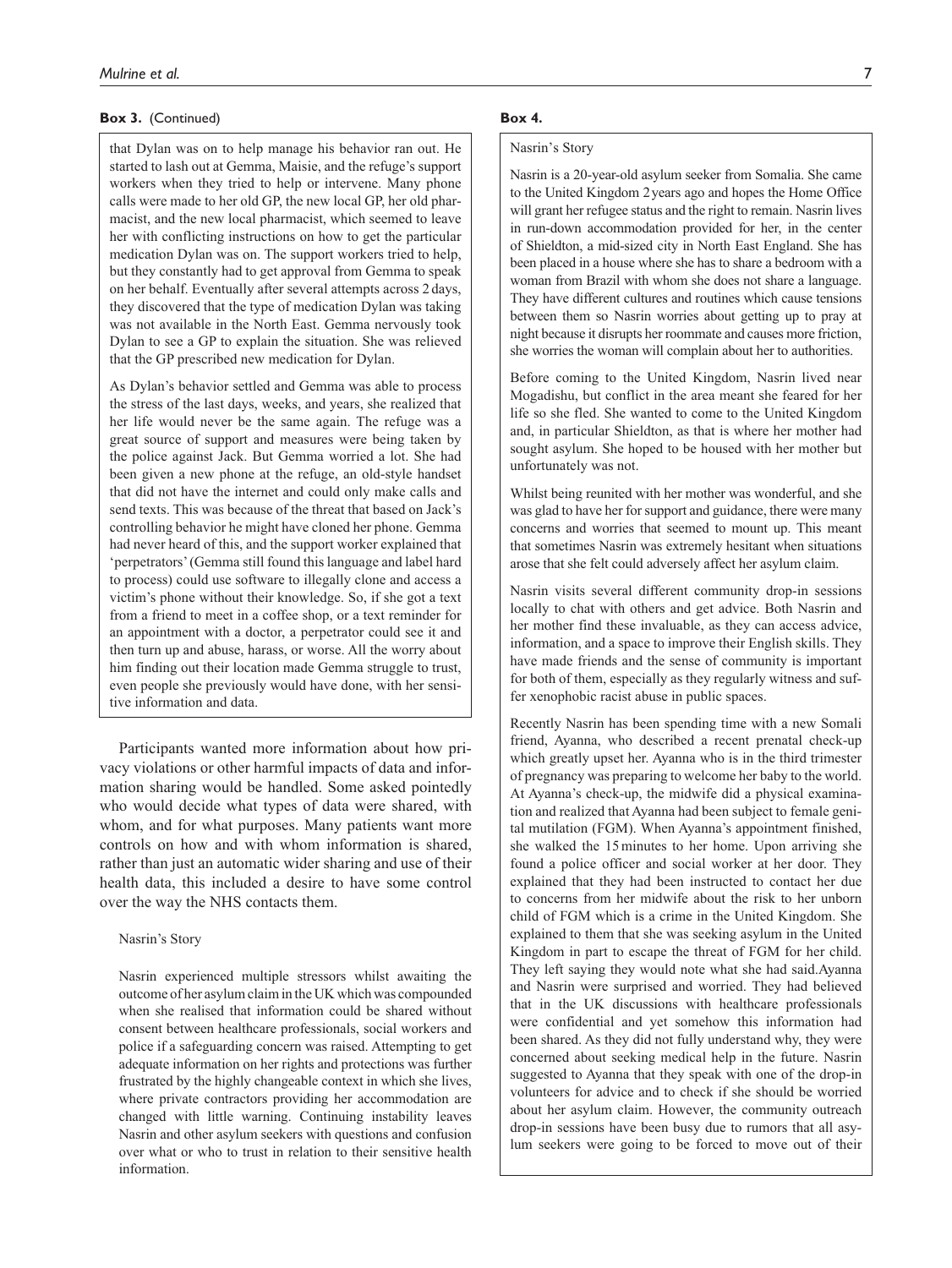#### **Box 3.** (Continued)

that Dylan was on to help manage his behavior ran out. He started to lash out at Gemma, Maisie, and the refuge's support workers when they tried to help or intervene. Many phone calls were made to her old GP, the new local GP, her old pharmacist, and the new local pharmacist, which seemed to leave her with conflicting instructions on how to get the particular medication Dylan was on. The support workers tried to help, but they constantly had to get approval from Gemma to speak on her behalf. Eventually after several attempts across 2 days, they discovered that the type of medication Dylan was taking was not available in the North East. Gemma nervously took Dylan to see a GP to explain the situation. She was relieved that the GP prescribed new medication for Dylan.

As Dylan's behavior settled and Gemma was able to process the stress of the last days, weeks, and years, she realized that her life would never be the same again. The refuge was a great source of support and measures were being taken by the police against Jack. But Gemma worried a lot. She had been given a new phone at the refuge, an old-style handset that did not have the internet and could only make calls and send texts. This was because of the threat that based on Jack's controlling behavior he might have cloned her phone. Gemma had never heard of this, and the support worker explained that 'perpetrators' (Gemma still found this language and label hard to process) could use software to illegally clone and access a victim's phone without their knowledge. So, if she got a text from a friend to meet in a coffee shop, or a text reminder for an appointment with a doctor, a perpetrator could see it and then turn up and abuse, harass, or worse. All the worry about him finding out their location made Gemma struggle to trust, even people she previously would have done, with her sensitive information and data.

Participants wanted more information about how privacy violations or other harmful impacts of data and information sharing would be handled. Some asked pointedly who would decide what types of data were shared, with whom, and for what purposes. Many patients want more controls on how and with whom information is shared, rather than just an automatic wider sharing and use of their health data, this included a desire to have some control over the way the NHS contacts them.

#### Nasrin's Story

Nasrin experienced multiple stressors whilst awaiting the outcome of her asylum claim in the UK which was compounded when she realised that information could be shared without consent between healthcare professionals, social workers and police if a safeguarding concern was raised. Attempting to get adequate information on her rights and protections was further frustrated by the highly changeable context in which she lives, where private contractors providing her accommodation are changed with little warning. Continuing instability leaves Nasrin and other asylum seekers with questions and confusion over what or who to trust in relation to their sensitive health information.

#### **Box 4.**

#### Nasrin's Story

Nasrin is a 20-year-old asylum seeker from Somalia. She came to the United Kingdom 2years ago and hopes the Home Office will grant her refugee status and the right to remain. Nasrin lives in run-down accommodation provided for her, in the center of Shieldton, a mid-sized city in North East England. She has been placed in a house where she has to share a bedroom with a woman from Brazil with whom she does not share a language. They have different cultures and routines which cause tensions between them so Nasrin worries about getting up to pray at night because it disrupts her roommate and causes more friction, she worries the woman will complain about her to authorities.

Before coming to the United Kingdom, Nasrin lived near Mogadishu, but conflict in the area meant she feared for her life so she fled. She wanted to come to the United Kingdom and, in particular Shieldton, as that is where her mother had sought asylum. She hoped to be housed with her mother but unfortunately was not.

Whilst being reunited with her mother was wonderful, and she was glad to have her for support and guidance, there were many concerns and worries that seemed to mount up. This meant that sometimes Nasrin was extremely hesitant when situations arose that she felt could adversely affect her asylum claim.

Nasrin visits several different community drop-in sessions locally to chat with others and get advice. Both Nasrin and her mother find these invaluable, as they can access advice, information, and a space to improve their English skills. They have made friends and the sense of community is important for both of them, especially as they regularly witness and suffer xenophobic racist abuse in public spaces.

Recently Nasrin has been spending time with a new Somali friend, Ayanna, who described a recent prenatal check-up which greatly upset her. Ayanna who is in the third trimester of pregnancy was preparing to welcome her baby to the world. At Ayanna's check-up, the midwife did a physical examination and realized that Ayanna had been subject to female genital mutilation (FGM). When Ayanna's appointment finished, she walked the 15minutes to her home. Upon arriving she found a police officer and social worker at her door. They explained that they had been instructed to contact her due to concerns from her midwife about the risk to her unborn child of FGM which is a crime in the United Kingdom. She explained to them that she was seeking asylum in the United Kingdom in part to escape the threat of FGM for her child. They left saying they would note what she had said.Ayanna and Nasrin were surprised and worried. They had believed that in the UK discussions with healthcare professionals were confidential and yet somehow this information had been shared. As they did not fully understand why, they were concerned about seeking medical help in the future. Nasrin suggested to Ayanna that they speak with one of the drop-in volunteers for advice and to check if she should be worried about her asylum claim. However, the community outreach drop-in sessions have been busy due to rumors that all asylum seekers were going to be forced to move out of their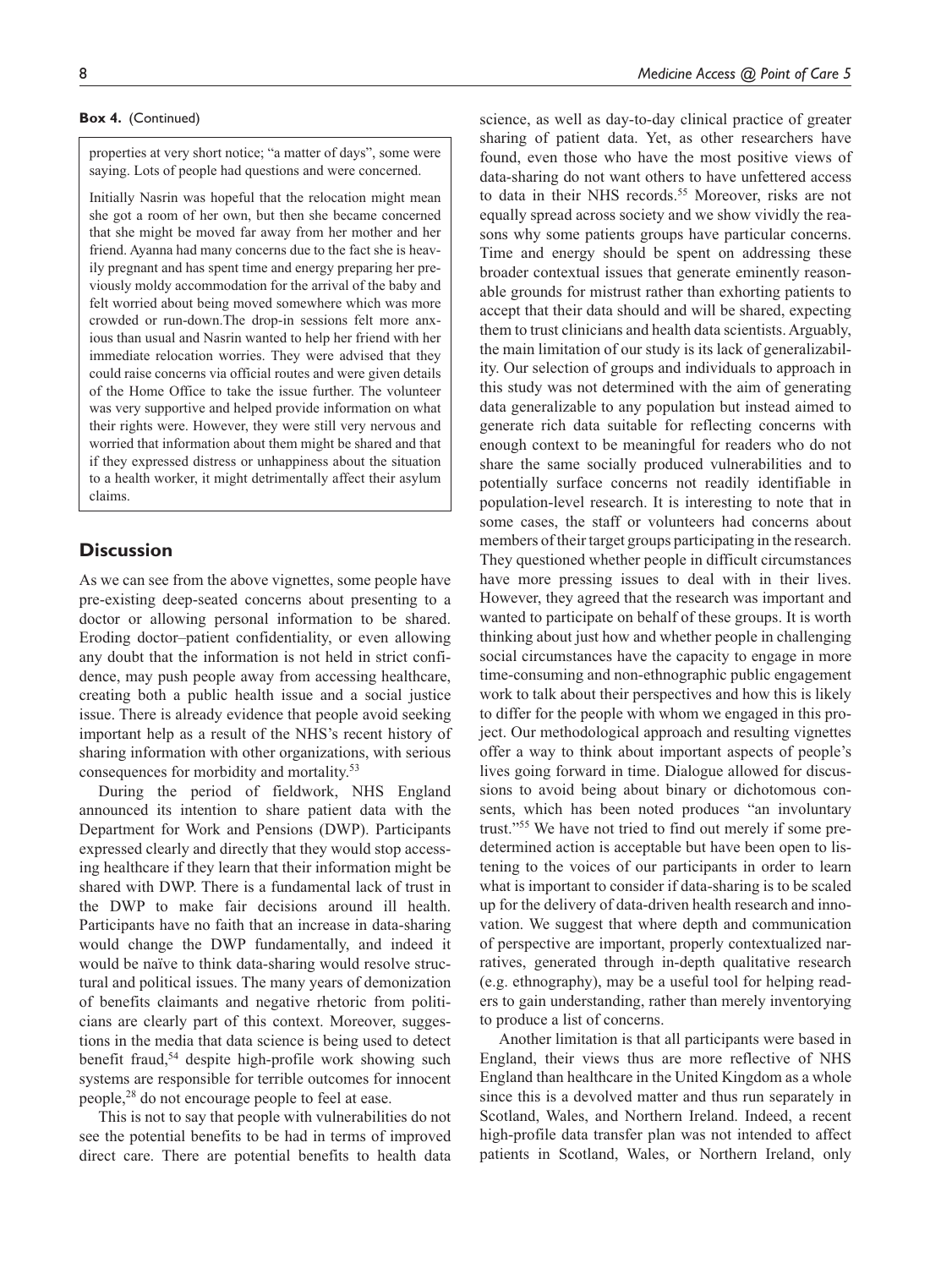properties at very short notice; "a matter of days", some were saying. Lots of people had questions and were concerned.

Initially Nasrin was hopeful that the relocation might mean she got a room of her own, but then she became concerned that she might be moved far away from her mother and her friend. Ayanna had many concerns due to the fact she is heavily pregnant and has spent time and energy preparing her previously moldy accommodation for the arrival of the baby and felt worried about being moved somewhere which was more crowded or run-down.The drop-in sessions felt more anxious than usual and Nasrin wanted to help her friend with her immediate relocation worries. They were advised that they could raise concerns via official routes and were given details of the Home Office to take the issue further. The volunteer was very supportive and helped provide information on what their rights were. However, they were still very nervous and worried that information about them might be shared and that if they expressed distress or unhappiness about the situation to a health worker, it might detrimentally affect their asylum claims.

#### **Discussion**

As we can see from the above vignettes, some people have pre-existing deep-seated concerns about presenting to a doctor or allowing personal information to be shared. Eroding doctor–patient confidentiality, or even allowing any doubt that the information is not held in strict confidence, may push people away from accessing healthcare, creating both a public health issue and a social justice issue. There is already evidence that people avoid seeking important help as a result of the NHS's recent history of sharing information with other organizations, with serious consequences for morbidity and mortality.<sup>53</sup>

During the period of fieldwork, NHS England announced its intention to share patient data with the Department for Work and Pensions (DWP). Participants expressed clearly and directly that they would stop accessing healthcare if they learn that their information might be shared with DWP. There is a fundamental lack of trust in the DWP to make fair decisions around ill health. Participants have no faith that an increase in data-sharing would change the DWP fundamentally, and indeed it would be naïve to think data-sharing would resolve structural and political issues. The many years of demonization of benefits claimants and negative rhetoric from politicians are clearly part of this context. Moreover, suggestions in the media that data science is being used to detect benefit fraud,<sup>54</sup> despite high-profile work showing such systems are responsible for terrible outcomes for innocent people,28 do not encourage people to feel at ease.

This is not to say that people with vulnerabilities do not see the potential benefits to be had in terms of improved direct care. There are potential benefits to health data

**Box 4.** (Continued) science, as well as day-to-day clinical practice of greater sharing of patient data. Yet, as other researchers have found, even those who have the most positive views of data-sharing do not want others to have unfettered access to data in their NHS records.<sup>55</sup> Moreover, risks are not equally spread across society and we show vividly the reasons why some patients groups have particular concerns. Time and energy should be spent on addressing these broader contextual issues that generate eminently reasonable grounds for mistrust rather than exhorting patients to accept that their data should and will be shared, expecting them to trust clinicians and health data scientists. Arguably, the main limitation of our study is its lack of generalizability. Our selection of groups and individuals to approach in this study was not determined with the aim of generating data generalizable to any population but instead aimed to generate rich data suitable for reflecting concerns with enough context to be meaningful for readers who do not share the same socially produced vulnerabilities and to potentially surface concerns not readily identifiable in population-level research. It is interesting to note that in some cases, the staff or volunteers had concerns about members of their target groups participating in the research. They questioned whether people in difficult circumstances have more pressing issues to deal with in their lives. However, they agreed that the research was important and wanted to participate on behalf of these groups. It is worth thinking about just how and whether people in challenging social circumstances have the capacity to engage in more time-consuming and non-ethnographic public engagement work to talk about their perspectives and how this is likely to differ for the people with whom we engaged in this project. Our methodological approach and resulting vignettes offer a way to think about important aspects of people's lives going forward in time. Dialogue allowed for discussions to avoid being about binary or dichotomous consents, which has been noted produces "an involuntary trust."55 We have not tried to find out merely if some predetermined action is acceptable but have been open to listening to the voices of our participants in order to learn what is important to consider if data-sharing is to be scaled up for the delivery of data-driven health research and innovation. We suggest that where depth and communication of perspective are important, properly contextualized narratives, generated through in-depth qualitative research (e.g. ethnography), may be a useful tool for helping readers to gain understanding, rather than merely inventorying to produce a list of concerns.

> Another limitation is that all participants were based in England, their views thus are more reflective of NHS England than healthcare in the United Kingdom as a whole since this is a devolved matter and thus run separately in Scotland, Wales, and Northern Ireland. Indeed, a recent high-profile data transfer plan was not intended to affect patients in Scotland, Wales, or Northern Ireland, only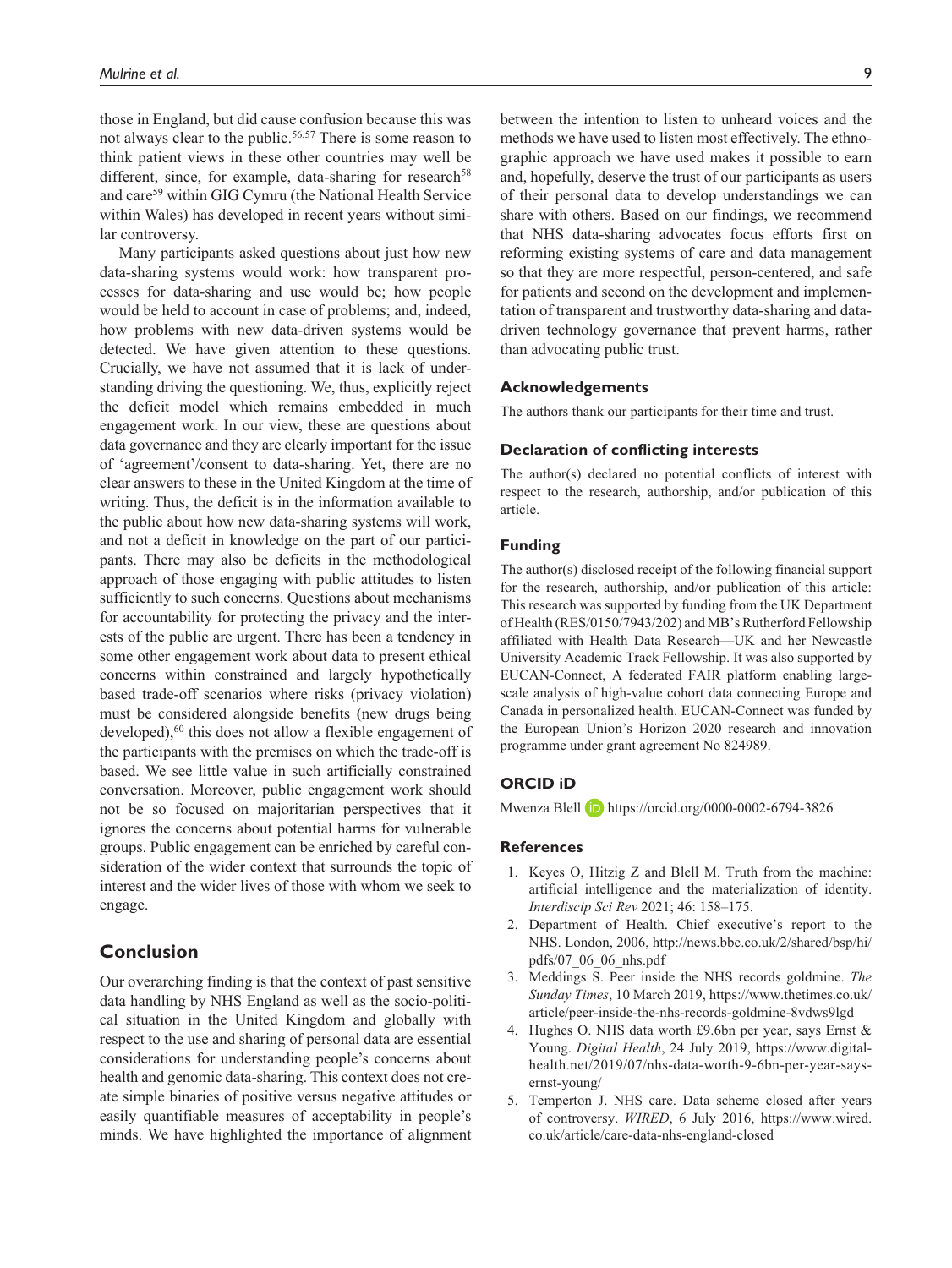those in England, but did cause confusion because this was not always clear to the public.<sup>56,57</sup> There is some reason to think patient views in these other countries may well be different, since, for example, data-sharing for research<sup>58</sup> and care<sup>59</sup> within GIG Cymru (the National Health Service within Wales) has developed in recent years without similar controversy.

Many participants asked questions about just how new data-sharing systems would work: how transparent processes for data-sharing and use would be; how people would be held to account in case of problems; and, indeed, how problems with new data-driven systems would be detected. We have given attention to these questions. Crucially, we have not assumed that it is lack of understanding driving the questioning. We, thus, explicitly reject the deficit model which remains embedded in much engagement work. In our view, these are questions about data governance and they are clearly important for the issue of 'agreement'/consent to data-sharing. Yet, there are no clear answers to these in the United Kingdom at the time of writing. Thus, the deficit is in the information available to the public about how new data-sharing systems will work, and not a deficit in knowledge on the part of our participants. There may also be deficits in the methodological approach of those engaging with public attitudes to listen sufficiently to such concerns. Questions about mechanisms for accountability for protecting the privacy and the interests of the public are urgent. There has been a tendency in some other engagement work about data to present ethical concerns within constrained and largely hypothetically based trade-off scenarios where risks (privacy violation) must be considered alongside benefits (new drugs being developed), $60$  this does not allow a flexible engagement of the participants with the premises on which the trade-off is based. We see little value in such artificially constrained conversation. Moreover, public engagement work should not be so focused on majoritarian perspectives that it ignores the concerns about potential harms for vulnerable groups. Public engagement can be enriched by careful consideration of the wider context that surrounds the topic of interest and the wider lives of those with whom we seek to engage.

#### **Conclusion**

Our overarching finding is that the context of past sensitive data handling by NHS England as well as the socio-political situation in the United Kingdom and globally with respect to the use and sharing of personal data are essential considerations for understanding people's concerns about health and genomic data-sharing. This context does not create simple binaries of positive versus negative attitudes or easily quantifiable measures of acceptability in people's minds. We have highlighted the importance of alignment

between the intention to listen to unheard voices and the methods we have used to listen most effectively. The ethnographic approach we have used makes it possible to earn and, hopefully, deserve the trust of our participants as users of their personal data to develop understandings we can share with others. Based on our findings, we recommend that NHS data-sharing advocates focus efforts first on reforming existing systems of care and data management so that they are more respectful, person-centered, and safe for patients and second on the development and implementation of transparent and trustworthy data-sharing and datadriven technology governance that prevent harms, rather than advocating public trust.

#### **Acknowledgements**

The authors thank our participants for their time and trust.

#### **Declaration of conflicting interests**

The author(s) declared no potential conflicts of interest with respect to the research, authorship, and/or publication of this article.

#### **Funding**

The author(s) disclosed receipt of the following financial support for the research, authorship, and/or publication of this article: This research was supported by funding from the UK Department of Health (RES/0150/7943/202) and MB's Rutherford Fellowship affiliated with Health Data Research—UK and her Newcastle University Academic Track Fellowship. It was also supported by EUCAN-Connect, A federated FAIR platform enabling largescale analysis of high-value cohort data connecting Europe and Canada in personalized health. EUCAN-Connect was funded by the European Union's Horizon 2020 research and innovation programme under grant agreement No 824989.

#### **ORCID iD**

Mwenza Blell **D** <https://orcid.org/0000-0002-6794-3826>

#### **References**

- 1. Keyes O, Hitzig Z and Blell M. Truth from the machine: artificial intelligence and the materialization of identity. *Interdiscip Sci Rev* 2021; 46: 158–175.
- 2. Department of Health. Chief executive's report to the NHS. London, 2006, [http://news.bbc.co.uk/2/shared/bsp/hi/](http://news.bbc.co.uk/2/shared/bsp/hi/pdfs/07_06_06_nhs.pdf) [pdfs/07\\_06\\_06\\_nhs.pdf](http://news.bbc.co.uk/2/shared/bsp/hi/pdfs/07_06_06_nhs.pdf)
- 3. Meddings S. Peer inside the NHS records goldmine. *The Sunday Times*, 10 March 2019, [https://www.thetimes.co.uk/](https://www.thetimes.co.uk/article/peer-inside-the-nhs-records-goldmine-8vdws9lgd) [article/peer-inside-the-nhs-records-goldmine-8vdws9lgd](https://www.thetimes.co.uk/article/peer-inside-the-nhs-records-goldmine-8vdws9lgd)
- Hughes O. NHS data worth £9.6bn per year, says Ernst & Young. *Digital Health*, 24 July 2019, [https://www.digital](https://www.digitalhealth.net/2019/07/nhs-data-worth-9-6bn-per-year-says-ernst-young/)[health.net/2019/07/nhs-data-worth-9-6bn-per-year-says](https://www.digitalhealth.net/2019/07/nhs-data-worth-9-6bn-per-year-says-ernst-young/)[ernst-young/](https://www.digitalhealth.net/2019/07/nhs-data-worth-9-6bn-per-year-says-ernst-young/)
- 5. Temperton J. NHS care. Data scheme closed after years of controversy. *WIRED*, 6 July 2016, [https://www.wired.](https://www.wired.co.uk/article/care-data-nhs-england-closed) [co.uk/article/care-data-nhs-england-closed](https://www.wired.co.uk/article/care-data-nhs-england-closed)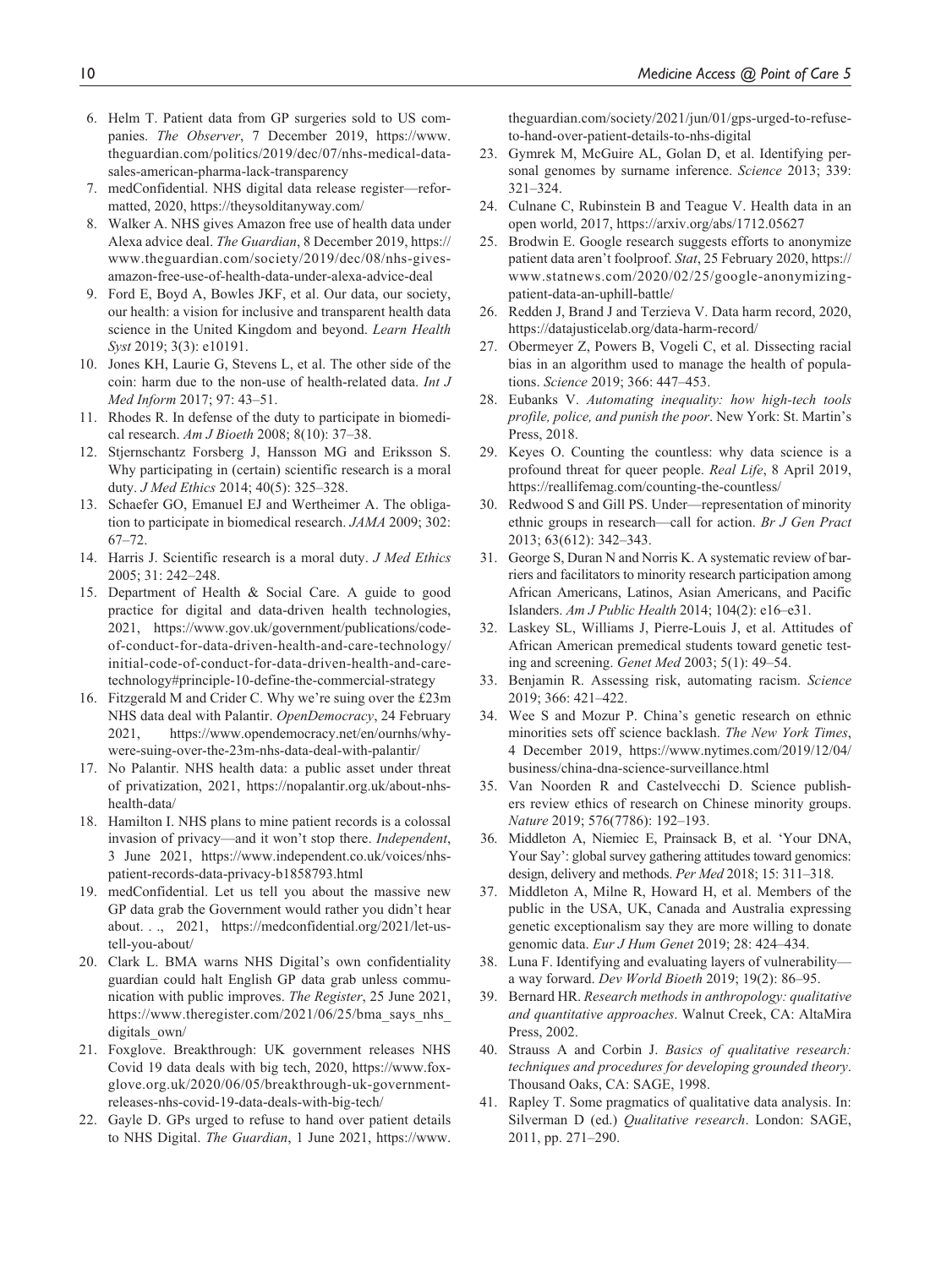- 6. Helm T. Patient data from GP surgeries sold to US companies. *The Observer*, 7 December 2019, [https://www.](https://www.theguardian.com/politics/2019/dec/07/nhs-medical-data-sales-american-pharma-lack-transparency) [theguardian.com/politics/2019/dec/07/nhs-medical-data](https://www.theguardian.com/politics/2019/dec/07/nhs-medical-data-sales-american-pharma-lack-transparency)[sales-american-pharma-lack-transparency](https://www.theguardian.com/politics/2019/dec/07/nhs-medical-data-sales-american-pharma-lack-transparency)
- 7. medConfidential. NHS digital data release register—reformatted, 2020,<https://theysolditanyway.com/>
- 8. Walker A. NHS gives Amazon free use of health data under Alexa advice deal. *The Guardian*, 8 December 2019, [https://](https://www.theguardian.com/society/2019/dec/08/nhs-gives-amazon-free-use-of-health-data-under-alexa-advice-deal) [www.theguardian.com/society/2019/dec/08/nhs-gives](https://www.theguardian.com/society/2019/dec/08/nhs-gives-amazon-free-use-of-health-data-under-alexa-advice-deal)[amazon-free-use-of-health-data-under-alexa-advice-deal](https://www.theguardian.com/society/2019/dec/08/nhs-gives-amazon-free-use-of-health-data-under-alexa-advice-deal)
- 9. Ford E, Boyd A, Bowles JKF, et al. Our data, our society, our health: a vision for inclusive and transparent health data science in the United Kingdom and beyond. *Learn Health Syst* 2019; 3(3): e10191.
- 10. Jones KH, Laurie G, Stevens L, et al. The other side of the coin: harm due to the non-use of health-related data. *Int J Med Inform* 2017; 97: 43–51.
- 11. Rhodes R. In defense of the duty to participate in biomedical research. *Am J Bioeth* 2008; 8(10): 37–38.
- 12. Stjernschantz Forsberg J, Hansson MG and Eriksson S. Why participating in (certain) scientific research is a moral duty. *J Med Ethics* 2014; 40(5): 325–328.
- 13. Schaefer GO, Emanuel EJ and Wertheimer A. The obligation to participate in biomedical research. *JAMA* 2009; 302: 67–72.
- 14. Harris J. Scientific research is a moral duty. *J Med Ethics* 2005; 31: 242–248.
- 15. Department of Health & Social Care. A guide to good practice for digital and data-driven health technologies, 2021, [https://www.gov.uk/government/publications/code](https://www.gov.uk/government/publications/code-of-conduct-for-data-driven-health-and-care-technology/initial-code-of-conduct-for-data-driven-health-and-care-technology#principle-10-define-the-commercial-strategy)[of-conduct-for-data-driven-health-and-care-technology/](https://www.gov.uk/government/publications/code-of-conduct-for-data-driven-health-and-care-technology/initial-code-of-conduct-for-data-driven-health-and-care-technology#principle-10-define-the-commercial-strategy) [initial-code-of-conduct-for-data-driven-health-and-care](https://www.gov.uk/government/publications/code-of-conduct-for-data-driven-health-and-care-technology/initial-code-of-conduct-for-data-driven-health-and-care-technology#principle-10-define-the-commercial-strategy)[technology#principle-10-define-the-commercial-strategy](https://www.gov.uk/government/publications/code-of-conduct-for-data-driven-health-and-care-technology/initial-code-of-conduct-for-data-driven-health-and-care-technology#principle-10-define-the-commercial-strategy)
- 16. Fitzgerald M and Crider C. Why we're suing over the £23m NHS data deal with Palantir. *OpenDemocracy*, 24 February 2021, [https://www.opendemocracy.net/en/ournhs/why](https://www.opendemocracy.net/en/ournhs/why-were-suing-over-the-23m-nhs-data-deal-with-palantir/)[were-suing-over-the-23m-nhs-data-deal-with-palantir/](https://www.opendemocracy.net/en/ournhs/why-were-suing-over-the-23m-nhs-data-deal-with-palantir/)
- 17. No Palantir. NHS health data: a public asset under threat of privatization, 2021, [https://nopalantir.org.uk/about-nhs](https://nopalantir.org.uk/about-nhs-health-data/)[health-data/](https://nopalantir.org.uk/about-nhs-health-data/)
- 18. Hamilton I. NHS plans to mine patient records is a colossal invasion of privacy—and it won't stop there. *Independent*, 3 June 2021, [https://www.independent.co.uk/voices/nhs](https://www.independent.co.uk/voices/nhs-patient-records-data-privacy-b1858793.html)[patient-records-data-privacy-b1858793.html](https://www.independent.co.uk/voices/nhs-patient-records-data-privacy-b1858793.html)
- 19. medConfidential. Let us tell you about the massive new GP data grab the Government would rather you didn't hear about. . ., 2021, [https://medconfidential.org/2021/let-us](https://medconfidential.org/2021/let-us-tell-you-about/)[tell-you-about/](https://medconfidential.org/2021/let-us-tell-you-about/)
- 20. Clark L. BMA warns NHS Digital's own confidentiality guardian could halt English GP data grab unless communication with public improves. *The Register*, 25 June 2021, [https://www.theregister.com/2021/06/25/bma\\_says\\_nhs\\_](https://www.theregister.com/2021/06/25/bma_says_nhs_digitals_own/) [digitals\\_own/](https://www.theregister.com/2021/06/25/bma_says_nhs_digitals_own/)
- 21. Foxglove. Breakthrough: UK government releases NHS Covid 19 data deals with big tech, 2020, [https://www.fox](https://www.foxglove.org.uk/2020/06/05/breakthrough-uk-government-releases-nhs-covid-19-data-deals-with-big-tech/)[glove.org.uk/2020/06/05/breakthrough-uk-government](https://www.foxglove.org.uk/2020/06/05/breakthrough-uk-government-releases-nhs-covid-19-data-deals-with-big-tech/)[releases-nhs-covid-19-data-deals-with-big-tech/](https://www.foxglove.org.uk/2020/06/05/breakthrough-uk-government-releases-nhs-covid-19-data-deals-with-big-tech/)
- 22. Gayle D. GPs urged to refuse to hand over patient details to NHS Digital. *The Guardian*, 1 June 2021, [https://www.](https://www.theguardian.com/society/2021/jun/01/gps-urged-to-refuse-to-hand-over-patient-details-to-nhs-digital)

[theguardian.com/society/2021/jun/01/gps-urged-to-refuse](https://www.theguardian.com/society/2021/jun/01/gps-urged-to-refuse-to-hand-over-patient-details-to-nhs-digital)[to-hand-over-patient-details-to-nhs-digital](https://www.theguardian.com/society/2021/jun/01/gps-urged-to-refuse-to-hand-over-patient-details-to-nhs-digital)

- 23. Gymrek M, McGuire AL, Golan D, et al. Identifying personal genomes by surname inference. *Science* 2013; 339: 321–324.
- 24. Culnane C, Rubinstein B and Teague V. Health data in an open world, 2017, <https://arxiv.org/abs/1712.05627>
- 25. Brodwin E. Google research suggests efforts to anonymize patient data aren't foolproof. *Stat*, 25 February 2020, [https://](https://www.statnews.com/2020/02/25/google-anonymizing-patient-data-an-uphill-battle/) [www.statnews.com/2020/02/25/google-anonymizing](https://www.statnews.com/2020/02/25/google-anonymizing-patient-data-an-uphill-battle/)[patient-data-an-uphill-battle/](https://www.statnews.com/2020/02/25/google-anonymizing-patient-data-an-uphill-battle/)
- 26. Redden J, Brand J and Terzieva V. Data harm record, 2020, <https://datajusticelab.org/data-harm-record/>
- 27. Obermeyer Z, Powers B, Vogeli C, et al. Dissecting racial bias in an algorithm used to manage the health of populations. *Science* 2019; 366: 447–453.
- 28. Eubanks V. *Automating inequality: how high-tech tools profile, police, and punish the poor*. New York: St. Martin's Press, 2018.
- 29. Keyes O. Counting the countless: why data science is a profound threat for queer people. *Real Life*, 8 April 2019, <https://reallifemag.com/counting-the-countless/>
- 30. Redwood S and Gill PS. Under—representation of minority ethnic groups in research—call for action. *Br J Gen Pract* 2013; 63(612): 342–343.
- 31. George S, Duran N and Norris K. A systematic review of barriers and facilitators to minority research participation among African Americans, Latinos, Asian Americans, and Pacific Islanders. *Am J Public Health* 2014; 104(2): e16–e31.
- 32. Laskey SL, Williams J, Pierre-Louis J, et al. Attitudes of African American premedical students toward genetic testing and screening. *Genet Med* 2003; 5(1): 49–54.
- 33. Benjamin R. Assessing risk, automating racism. *Science* 2019; 366: 421–422.
- 34. Wee S and Mozur P. China's genetic research on ethnic minorities sets off science backlash. *The New York Times*, 4 December 2019, [https://www.nytimes.com/2019/12/04/](https://www.nytimes.com/2019/12/04/business/china-dna-science-surveillance.html) [business/china-dna-science-surveillance.html](https://www.nytimes.com/2019/12/04/business/china-dna-science-surveillance.html)
- 35. Van Noorden R and Castelvecchi D. Science publishers review ethics of research on Chinese minority groups. *Nature* 2019; 576(7786): 192–193.
- 36. Middleton A, Niemiec E, Prainsack B, et al. 'Your DNA, Your Say': global survey gathering attitudes toward genomics: design, delivery and methods. *Per Med* 2018; 15: 311–318.
- 37. Middleton A, Milne R, Howard H, et al. Members of the public in the USA, UK, Canada and Australia expressing genetic exceptionalism say they are more willing to donate genomic data. *Eur J Hum Genet* 2019; 28: 424–434.
- 38. Luna F. Identifying and evaluating layers of vulnerability a way forward. *Dev World Bioeth* 2019; 19(2): 86–95.
- 39. Bernard HR. *Research methods in anthropology: qualitative and quantitative approaches*. Walnut Creek, CA: AltaMira Press, 2002.
- 40. Strauss A and Corbin J. *Basics of qualitative research: techniques and procedures for developing grounded theory*. Thousand Oaks, CA: SAGE, 1998.
- 41. Rapley T. Some pragmatics of qualitative data analysis. In: Silverman D (ed.) *Qualitative research*. London: SAGE, 2011, pp. 271–290.